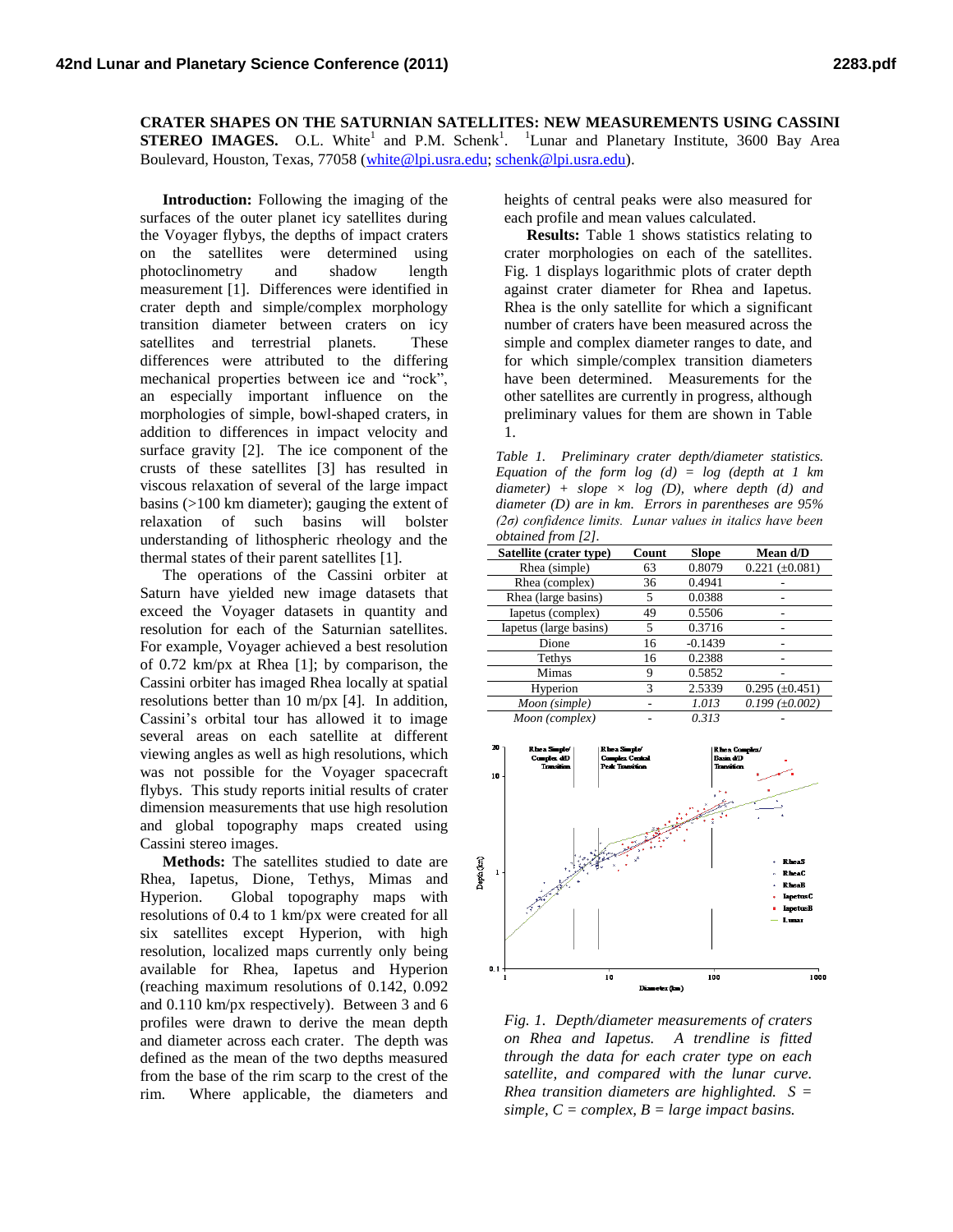**CRATER SHAPES ON THE SATURNIAN SATELLITES: NEW MEASUREMENTS USING CASSINI STEREO IMAGES.** O.L. White<sup>1</sup> and P.M. Schenk<sup>1</sup>. <sup>1</sup>Lunar and Planetary Institute, 3600 Bay Area Boulevard, Houston, Texas, 77058 [\(white@lpi.usra.edu;](mailto:white@lpi.usra.edu) [schenk@lpi.usra.edu\)](mailto:schenk@lpi.usra.edu).

**Introduction:** Following the imaging of the surfaces of the outer planet icy satellites during the Voyager flybys, the depths of impact craters on the satellites were determined using photoclinometry and shadow length measurement [1]. Differences were identified in crater depth and simple/complex morphology transition diameter between craters on icy satellites and terrestrial planets. These differences were attributed to the differing mechanical properties between ice and "rock", an especially important influence on the morphologies of simple, bowl-shaped craters, in addition to differences in impact velocity and surface gravity [2]. The ice component of the crusts of these satellites [3] has resulted in viscous relaxation of several of the large impact basins (>100 km diameter); gauging the extent of relaxation of such basins will bolster understanding of lithospheric rheology and the thermal states of their parent satellites [1].

The operations of the Cassini orbiter at Saturn have yielded new image datasets that exceed the Voyager datasets in quantity and resolution for each of the Saturnian satellites. For example, Voyager achieved a best resolution of 0.72 km/px at Rhea [1]; by comparison, the Cassini orbiter has imaged Rhea locally at spatial resolutions better than 10 m/px [4]. In addition, Cassini's orbital tour has allowed it to image several areas on each satellite at different viewing angles as well as high resolutions, which was not possible for the Voyager spacecraft flybys. This study reports initial results of crater dimension measurements that use high resolution and global topography maps created using Cassini stereo images.

**Methods:** The satellites studied to date are Rhea, Iapetus, Dione, Tethys, Mimas and Hyperion. Global topography maps with resolutions of 0.4 to 1 km/px were created for all six satellites except Hyperion, with high resolution, localized maps currently only being available for Rhea, Iapetus and Hyperion (reaching maximum resolutions of 0.142, 0.092 and 0.110 km/px respectively). Between 3 and 6 profiles were drawn to derive the mean depth and diameter across each crater. The depth was defined as the mean of the two depths measured from the base of the rim scarp to the crest of the rim. Where applicable, the diameters and heights of central peaks were also measured for each profile and mean values calculated.

**Results:** Table 1 shows statistics relating to crater morphologies on each of the satellites. Fig. 1 displays logarithmic plots of crater depth against crater diameter for Rhea and Iapetus. Rhea is the only satellite for which a significant number of craters have been measured across the simple and complex diameter ranges to date, and for which simple/complex transition diameters have been determined. Measurements for the other satellites are currently in progress, although preliminary values for them are shown in Table 1.

*Table 1. Preliminary crater depth/diameter statistics. Equation of the form log (d) = log (depth at 1 km diameter) + slope × log (D), where depth (d) and diameter (D) are in km. Errors in parentheses are 95% (2σ) confidence limits. Lunar values in italics have been obtained from [2].*

| Satellite (crater type) | Count | <b>Slope</b> | Mean d/D            |
|-------------------------|-------|--------------|---------------------|
| Rhea (simple)           | 63    | 0.8079       | $0.221 (\pm 0.081)$ |
| Rhea (complex)          | 36    | 0.4941       |                     |
| Rhea (large basins)     | 5     | 0.0388       |                     |
| Iapetus (complex)       | 49    | 0.5506       |                     |
| Iapetus (large basins)  | 5     | 0.3716       |                     |
| Dione                   | 16    | $-0.1439$    |                     |
| Tethys                  | 16    | 0.2388       |                     |
| Mimas                   | 9     | 0.5852       |                     |
| Hyperion                | 3     | 2.5339       | $0.295 (\pm 0.451)$ |
| Moon (simple)           |       | 1.013        | $0.199 (\pm 0.002)$ |
| Moon (complex)          |       | 0.313        |                     |



*Fig. 1. Depth/diameter measurements of craters on Rhea and Iapetus. A trendline is fitted through the data for each crater type on each satellite, and compared with the lunar curve. Rhea transition diameters are highlighted. S = simple, C = complex, B = large impact basins.*